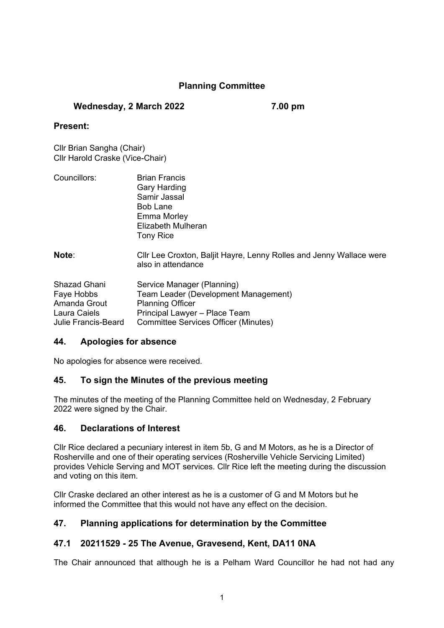# **Planning Committee**

### **Wednesday, 2 March 2022 7.00 pm**

#### **Present:**

Cllr Brian Sangha (Chair) Cllr Harold Craske (Vice-Chair)

| Councillors: | <b>Brian Francis</b>                                                                                                                                                                                                                                                                                              |
|--------------|-------------------------------------------------------------------------------------------------------------------------------------------------------------------------------------------------------------------------------------------------------------------------------------------------------------------|
|              | <b>Gary Harding</b>                                                                                                                                                                                                                                                                                               |
|              | Samir Jassal                                                                                                                                                                                                                                                                                                      |
|              | Bob Lane                                                                                                                                                                                                                                                                                                          |
|              | Emma Morley                                                                                                                                                                                                                                                                                                       |
|              | Elizabeth Mulheran                                                                                                                                                                                                                                                                                                |
|              | <b>Tony Rice</b>                                                                                                                                                                                                                                                                                                  |
|              |                                                                                                                                                                                                                                                                                                                   |
| .            | $\bigcap_{i=1}^{n}$ , $\bigcap_{i=1}^{n}$ , $\bigcap_{i=1}^{n}$ , $\bigcap_{i=1}^{n}$ , $\bigcap_{i=1}^{n}$ , $\bigcap_{i=1}^{n}$ , $\bigcap_{i=1}^{n}$ , $\bigcap_{i=1}^{n}$ , $\bigcap_{i=1}^{n}$ , $\bigcap_{i=1}^{n}$ , $\bigcap_{i=1}^{n}$ , $\bigcap_{i=1}^{n}$ , $\bigcap_{i=1}^{n}$ , $\bigcap_{i=1}^{n}$ |

**Note**: Cllr Lee Croxton, Baljit Hayre, Lenny Rolles and Jenny Wallace were also in attendance

| Service Manager (Planning)                  |
|---------------------------------------------|
| Team Leader (Development Management)        |
| <b>Planning Officer</b>                     |
| Principal Lawyer - Place Team               |
| <b>Committee Services Officer (Minutes)</b> |
|                                             |

#### **44. Apologies for absence**

No apologies for absence were received.

# **45. To sign the Minutes of the previous meeting**

The minutes of the meeting of the Planning Committee held on Wednesday, 2 February 2022 were signed by the Chair.

# **46. Declarations of Interest**

Cllr Rice declared a pecuniary interest in item 5b, G and M Motors, as he is a Director of Rosherville and one of their operating services (Rosherville Vehicle Servicing Limited) provides Vehicle Serving and MOT services. Cllr Rice left the meeting during the discussion and voting on this item.

Cllr Craske declared an other interest as he is a customer of G and M Motors but he informed the Committee that this would not have any effect on the decision.

# **47. Planning applications for determination by the Committee**

# **47.1 20211529 - 25 The Avenue, Gravesend, Kent, DA11 0NA**

The Chair announced that although he is a Pelham Ward Councillor he had not had any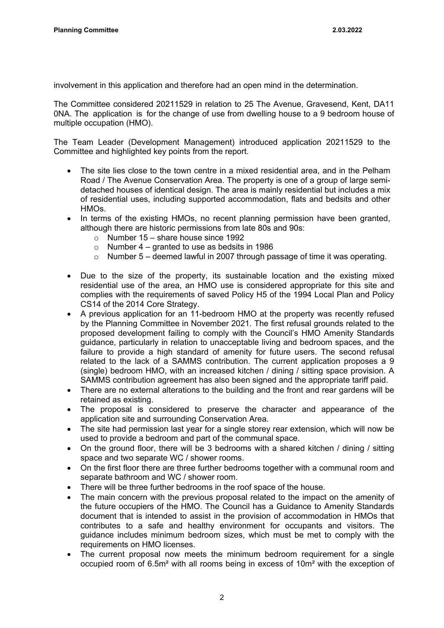involvement in this application and therefore had an open mind in the determination.

The Committee considered 20211529 in relation to 25 The Avenue, Gravesend, Kent, DA11 0NA. The application is for the change of use from dwelling house to a 9 bedroom house of multiple occupation (HMO).

The Team Leader (Development Management) introduced application 20211529 to the Committee and highlighted key points from the report.

- The site lies close to the town centre in a mixed residential area, and in the Pelham Road / The Avenue Conservation Area. The property is one of a group of large semidetached houses of identical design. The area is mainly residential but includes a mix of residential uses, including supported accommodation, flats and bedsits and other HMOs.
- In terms of the existing HMOs, no recent planning permission have been granted, although there are historic permissions from late 80s and 90s:
	- o Number  $15 -$  share house since 1992
	- o Number 4 granted to use as bedsits in 1986
	- o Number 5 deemed lawful in 2007 through passage of time it was operating.
- Due to the size of the property, its sustainable location and the existing mixed residential use of the area, an HMO use is considered appropriate for this site and complies with the requirements of saved Policy H5 of the 1994 Local Plan and Policy CS14 of the 2014 Core Strategy.
- A previous application for an 11-bedroom HMO at the property was recently refused by the Planning Committee in November 2021. The first refusal grounds related to the proposed development failing to comply with the Council's HMO Amenity Standards guidance, particularly in relation to unacceptable living and bedroom spaces, and the failure to provide a high standard of amenity for future users. The second refusal related to the lack of a SAMMS contribution. The current application proposes a 9 (single) bedroom HMO, with an increased kitchen / dining / sitting space provision. A SAMMS contribution agreement has also been signed and the appropriate tariff paid.
- There are no external alterations to the building and the front and rear gardens will be retained as existing.
- The proposal is considered to preserve the character and appearance of the application site and surrounding Conservation Area.
- The site had permission last year for a single storey rear extension, which will now be used to provide a bedroom and part of the communal space.
- On the ground floor, there will be 3 bedrooms with a shared kitchen / dining / sitting space and two separate WC / shower rooms.
- On the first floor there are three further bedrooms together with a communal room and separate bathroom and WC / shower room.
- There will be three further bedrooms in the roof space of the house.
- The main concern with the previous proposal related to the impact on the amenity of the future occupiers of the HMO. The Council has a Guidance to Amenity Standards document that is intended to assist in the provision of accommodation in HMOs that contributes to a safe and healthy environment for occupants and visitors. The guidance includes minimum bedroom sizes, which must be met to comply with the requirements on HMO licenses.
- The current proposal now meets the minimum bedroom requirement for a single occupied room of 6.5m² with all rooms being in excess of 10m² with the exception of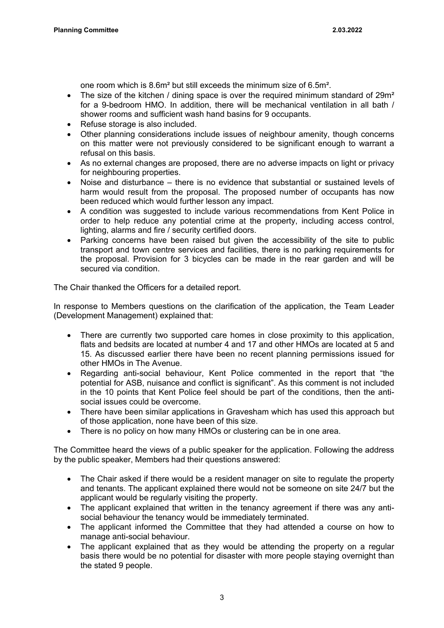one room which is 8.6m² but still exceeds the minimum size of 6.5m².

- The size of the kitchen / dining space is over the required minimum standard of 29m<sup>2</sup> for a 9-bedroom HMO. In addition, there will be mechanical ventilation in all bath / shower rooms and sufficient wash hand basins for 9 occupants.
- Refuse storage is also included.
- Other planning considerations include issues of neighbour amenity, though concerns on this matter were not previously considered to be significant enough to warrant a refusal on this basis.
- As no external changes are proposed, there are no adverse impacts on light or privacy for neighbouring properties.
- Noise and disturbance there is no evidence that substantial or sustained levels of harm would result from the proposal. The proposed number of occupants has now been reduced which would further lesson any impact.
- A condition was suggested to include various recommendations from Kent Police in order to help reduce any potential crime at the property, including access control, lighting, alarms and fire / security certified doors.
- Parking concerns have been raised but given the accessibility of the site to public transport and town centre services and facilities, there is no parking requirements for the proposal. Provision for 3 bicycles can be made in the rear garden and will be secured via condition.

The Chair thanked the Officers for a detailed report.

In response to Members questions on the clarification of the application, the Team Leader (Development Management) explained that:

- There are currently two supported care homes in close proximity to this application, flats and bedsits are located at number 4 and 17 and other HMOs are located at 5 and 15. As discussed earlier there have been no recent planning permissions issued for other HMOs in The Avenue.
- Regarding anti-social behaviour, Kent Police commented in the report that "the potential for ASB, nuisance and conflict is significant". As this comment is not included in the 10 points that Kent Police feel should be part of the conditions, then the antisocial issues could be overcome.
- There have been similar applications in Gravesham which has used this approach but of those application, none have been of this size.
- There is no policy on how many HMOs or clustering can be in one area.

The Committee heard the views of a public speaker for the application. Following the address by the public speaker, Members had their questions answered:

- The Chair asked if there would be a resident manager on site to regulate the property and tenants. The applicant explained there would not be someone on site 24/7 but the applicant would be regularly visiting the property.
- The applicant explained that written in the tenancy agreement if there was any antisocial behaviour the tenancy would be immediately terminated.
- The applicant informed the Committee that they had attended a course on how to manage anti-social behaviour.
- The applicant explained that as they would be attending the property on a regular basis there would be no potential for disaster with more people staying overnight than the stated 9 people.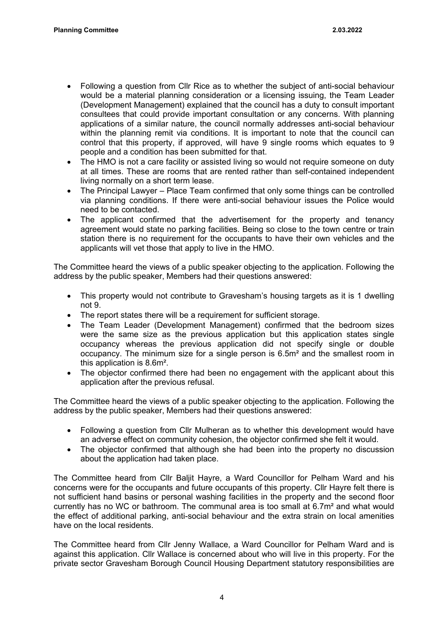- Following a question from Cllr Rice as to whether the subject of anti-social behaviour would be a material planning consideration or a licensing issuing, the Team Leader (Development Management) explained that the council has a duty to consult important consultees that could provide important consultation or any concerns. With planning applications of a similar nature, the council normally addresses anti-social behaviour within the planning remit via conditions. It is important to note that the council can control that this property, if approved, will have 9 single rooms which equates to 9 people and a condition has been submitted for that.
- The HMO is not a care facility or assisted living so would not require someone on duty at all times. These are rooms that are rented rather than self-contained independent living normally on a short term lease.
- The Principal Lawyer Place Team confirmed that only some things can be controlled via planning conditions. If there were anti-social behaviour issues the Police would need to be contacted.
- The applicant confirmed that the advertisement for the property and tenancy agreement would state no parking facilities. Being so close to the town centre or train station there is no requirement for the occupants to have their own vehicles and the applicants will vet those that apply to live in the HMO.

The Committee heard the views of a public speaker objecting to the application. Following the address by the public speaker, Members had their questions answered:

- This property would not contribute to Gravesham's housing targets as it is 1 dwelling not 9.
- The report states there will be a requirement for sufficient storage.
- The Team Leader (Development Management) confirmed that the bedroom sizes were the same size as the previous application but this application states single occupancy whereas the previous application did not specify single or double occupancy. The minimum size for a single person is 6.5m² and the smallest room in this application is 8.6m².
- The objector confirmed there had been no engagement with the applicant about this application after the previous refusal.

The Committee heard the views of a public speaker objecting to the application. Following the address by the public speaker, Members had their questions answered:

- Following a question from Cllr Mulheran as to whether this development would have an adverse effect on community cohesion, the objector confirmed she felt it would.
- The objector confirmed that although she had been into the property no discussion about the application had taken place.

The Committee heard from Cllr Baljit Hayre, a Ward Councillor for Pelham Ward and his concerns were for the occupants and future occupants of this property. Cllr Hayre felt there is not sufficient hand basins or personal washing facilities in the property and the second floor currently has no WC or bathroom. The communal area is too small at 6.7m² and what would the effect of additional parking, anti-social behaviour and the extra strain on local amenities have on the local residents.

The Committee heard from Cllr Jenny Wallace, a Ward Councillor for Pelham Ward and is against this application. Cllr Wallace is concerned about who will live in this property. For the private sector Gravesham Borough Council Housing Department statutory responsibilities are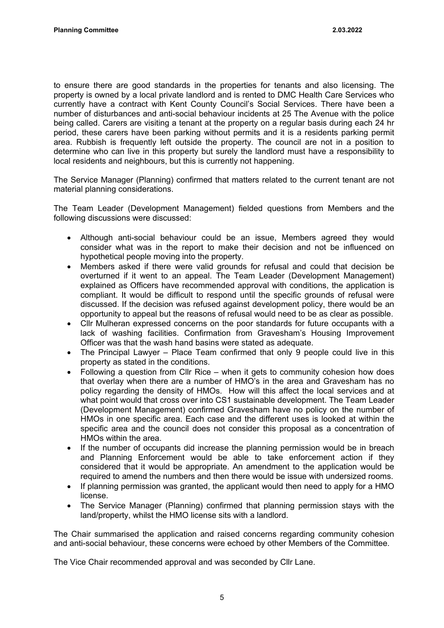to ensure there are good standards in the properties for tenants and also licensing. The property is owned by a local private landlord and is rented to DMC Health Care Services who currently have a contract with Kent County Council's Social Services. There have been a number of disturbances and anti-social behaviour incidents at 25 The Avenue with the police being called. Carers are visiting a tenant at the property on a regular basis during each 24 hr period, these carers have been parking without permits and it is a residents parking permit area. Rubbish is frequently left outside the property. The council are not in a position to determine who can live in this property but surely the landlord must have a responsibility to local residents and neighbours, but this is currently not happening.

The Service Manager (Planning) confirmed that matters related to the current tenant are not material planning considerations.

The Team Leader (Development Management) fielded questions from Members and the following discussions were discussed:

- Although anti-social behaviour could be an issue, Members agreed they would consider what was in the report to make their decision and not be influenced on hypothetical people moving into the property.
- Members asked if there were valid grounds for refusal and could that decision be overturned if it went to an appeal. The Team Leader (Development Management) explained as Officers have recommended approval with conditions, the application is compliant. It would be difficult to respond until the specific grounds of refusal were discussed. If the decision was refused against development policy, there would be an opportunity to appeal but the reasons of refusal would need to be as clear as possible.
- Cllr Mulheran expressed concerns on the poor standards for future occupants with a lack of washing facilities. Confirmation from Gravesham's Housing Improvement Officer was that the wash hand basins were stated as adequate.
- The Principal Lawyer Place Team confirmed that only 9 people could live in this property as stated in the conditions.
- Following a question from Cllr Rice when it gets to community cohesion how does that overlay when there are a number of HMO's in the area and Gravesham has no policy regarding the density of HMOs. How will this affect the local services and at what point would that cross over into CS1 sustainable development. The Team Leader (Development Management) confirmed Gravesham have no policy on the number of HMOs in one specific area. Each case and the different uses is looked at within the specific area and the council does not consider this proposal as a concentration of HMOs within the area.
- If the number of occupants did increase the planning permission would be in breach and Planning Enforcement would be able to take enforcement action if they considered that it would be appropriate. An amendment to the application would be required to amend the numbers and then there would be issue with undersized rooms.
- If planning permission was granted, the applicant would then need to apply for a HMO license.
- The Service Manager (Planning) confirmed that planning permission stays with the land/property, whilst the HMO license sits with a landlord.

The Chair summarised the application and raised concerns regarding community cohesion and anti-social behaviour, these concerns were echoed by other Members of the Committee.

The Vice Chair recommended approval and was seconded by Cllr Lane.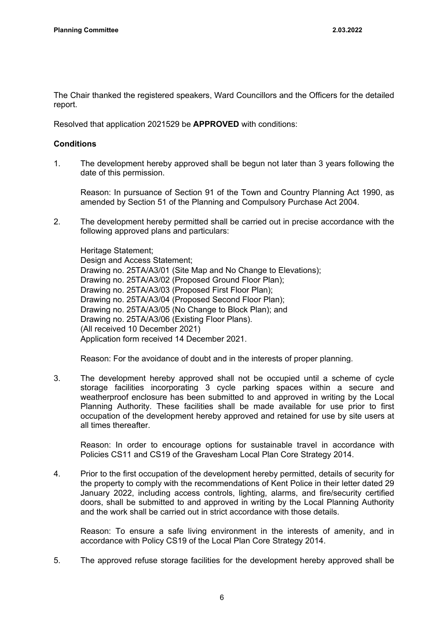The Chair thanked the registered speakers, Ward Councillors and the Officers for the detailed report.

Resolved that application 2021529 be **APPROVED** with conditions:

#### **Conditions**

1. The development hereby approved shall be begun not later than 3 years following the date of this permission.

Reason: In pursuance of Section 91 of the Town and Country Planning Act 1990, as amended by Section 51 of the Planning and Compulsory Purchase Act 2004.

2. The development hereby permitted shall be carried out in precise accordance with the following approved plans and particulars:

Heritage Statement; Design and Access Statement; Drawing no. 25TA/A3/01 (Site Map and No Change to Elevations); Drawing no. 25TA/A3/02 (Proposed Ground Floor Plan); Drawing no. 25TA/A3/03 (Proposed First Floor Plan); Drawing no. 25TA/A3/04 (Proposed Second Floor Plan); Drawing no. 25TA/A3/05 (No Change to Block Plan); and Drawing no. 25TA/A3/06 (Existing Floor Plans). (All received 10 December 2021) Application form received 14 December 2021.

Reason: For the avoidance of doubt and in the interests of proper planning.

3. The development hereby approved shall not be occupied until a scheme of cycle storage facilities incorporating 3 cycle parking spaces within a secure and weatherproof enclosure has been submitted to and approved in writing by the Local Planning Authority. These facilities shall be made available for use prior to first occupation of the development hereby approved and retained for use by site users at all times thereafter.

Reason: In order to encourage options for sustainable travel in accordance with Policies CS11 and CS19 of the Gravesham Local Plan Core Strategy 2014.

4. Prior to the first occupation of the development hereby permitted, details of security for the property to comply with the recommendations of Kent Police in their letter dated 29 January 2022, including access controls, lighting, alarms, and fire/security certified doors, shall be submitted to and approved in writing by the Local Planning Authority and the work shall be carried out in strict accordance with those details.

Reason: To ensure a safe living environment in the interests of amenity, and in accordance with Policy CS19 of the Local Plan Core Strategy 2014.

5. The approved refuse storage facilities for the development hereby approved shall be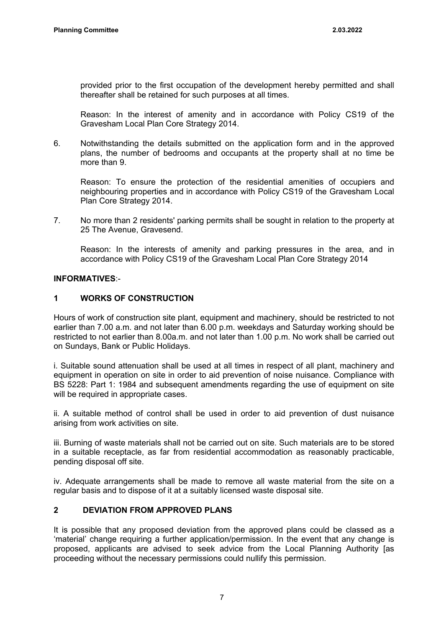provided prior to the first occupation of the development hereby permitted and shall thereafter shall be retained for such purposes at all times.

Reason: In the interest of amenity and in accordance with Policy CS19 of the Gravesham Local Plan Core Strategy 2014.

6. Notwithstanding the details submitted on the application form and in the approved plans, the number of bedrooms and occupants at the property shall at no time be more than 9.

Reason: To ensure the protection of the residential amenities of occupiers and neighbouring properties and in accordance with Policy CS19 of the Gravesham Local Plan Core Strategy 2014.

7. No more than 2 residents' parking permits shall be sought in relation to the property at 25 The Avenue, Gravesend.

Reason: In the interests of amenity and parking pressures in the area, and in accordance with Policy CS19 of the Gravesham Local Plan Core Strategy 2014

#### **INFORMATIVES**:-

#### **1 WORKS OF CONSTRUCTION**

Hours of work of construction site plant, equipment and machinery, should be restricted to not earlier than 7.00 a.m. and not later than 6.00 p.m. weekdays and Saturday working should be restricted to not earlier than 8.00a.m. and not later than 1.00 p.m. No work shall be carried out on Sundays, Bank or Public Holidays.

i. Suitable sound attenuation shall be used at all times in respect of all plant, machinery and equipment in operation on site in order to aid prevention of noise nuisance. Compliance with BS 5228: Part 1: 1984 and subsequent amendments regarding the use of equipment on site will be required in appropriate cases.

ii. A suitable method of control shall be used in order to aid prevention of dust nuisance arising from work activities on site.

iii. Burning of waste materials shall not be carried out on site. Such materials are to be stored in a suitable receptacle, as far from residential accommodation as reasonably practicable, pending disposal off site.

iv. Adequate arrangements shall be made to remove all waste material from the site on a regular basis and to dispose of it at a suitably licensed waste disposal site.

# **2 DEVIATION FROM APPROVED PLANS**

It is possible that any proposed deviation from the approved plans could be classed as a 'material' change requiring a further application/permission. In the event that any change is proposed, applicants are advised to seek advice from the Local Planning Authority [as proceeding without the necessary permissions could nullify this permission.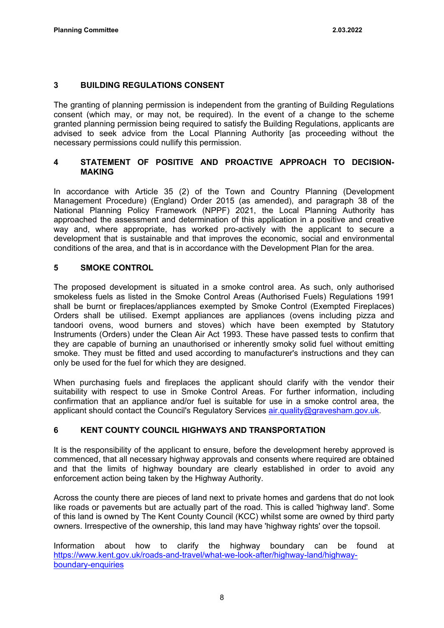### **3 BUILDING REGULATIONS CONSENT**

The granting of planning permission is independent from the granting of Building Regulations consent (which may, or may not, be required). In the event of a change to the scheme granted planning permission being required to satisfy the Building Regulations, applicants are advised to seek advice from the Local Planning Authority [as proceeding without the necessary permissions could nullify this permission.

### **4 STATEMENT OF POSITIVE AND PROACTIVE APPROACH TO DECISION-MAKING**

In accordance with Article 35 (2) of the Town and Country Planning (Development Management Procedure) (England) Order 2015 (as amended), and paragraph 38 of the National Planning Policy Framework (NPPF) 2021, the Local Planning Authority has approached the assessment and determination of this application in a positive and creative way and, where appropriate, has worked pro-actively with the applicant to secure a development that is sustainable and that improves the economic, social and environmental conditions of the area, and that is in accordance with the Development Plan for the area.

### **5 SMOKE CONTROL**

The proposed development is situated in a smoke control area. As such, only authorised smokeless fuels as listed in the Smoke Control Areas (Authorised Fuels) Regulations 1991 shall be burnt or fireplaces/appliances exempted by Smoke Control (Exempted Fireplaces) Orders shall be utilised. Exempt appliances are appliances (ovens including pizza and tandoori ovens, wood burners and stoves) which have been exempted by Statutory Instruments (Orders) under the Clean Air Act 1993. These have passed tests to confirm that they are capable of burning an unauthorised or inherently smoky solid fuel without emitting smoke. They must be fitted and used according to manufacturer's instructions and they can only be used for the fuel for which they are designed.

When purchasing fuels and fireplaces the applicant should clarify with the vendor their suitability with respect to use in Smoke Control Areas. For further information, including confirmation that an appliance and/or fuel is suitable for use in a smoke control area, the applicant should contact the Council's Regulatory Services [air.quality@gravesham.gov.uk](mailto:air.quality@gravesham.gov.uk).

# **6 KENT COUNTY COUNCIL HIGHWAYS AND TRANSPORTATION**

It is the responsibility of the applicant to ensure, before the development hereby approved is commenced, that all necessary highway approvals and consents where required are obtained and that the limits of highway boundary are clearly established in order to avoid any enforcement action being taken by the Highway Authority.

Across the county there are pieces of land next to private homes and gardens that do not look like roads or pavements but are actually part of the road. This is called 'highway land'. Some of this land is owned by The Kent County Council (KCC) whilst some are owned by third party owners. Irrespective of the ownership, this land may have 'highway rights' over the topsoil.

Information about how to clarify the highway boundary can be found at [https://www.kent.gov.uk/roads-and-travel/what-we-look-after/highway-land/highway](https://www.kent.gov.uk/roads-and-travel/what-we-look-after/highway-land/highway-boundary-enquiries)[boundary-enquiries](https://www.kent.gov.uk/roads-and-travel/what-we-look-after/highway-land/highway-boundary-enquiries)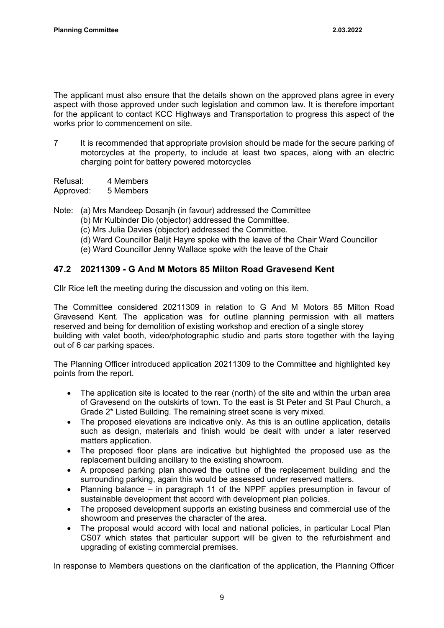The applicant must also ensure that the details shown on the approved plans agree in every aspect with those approved under such legislation and common law. It is therefore important for the applicant to contact KCC Highways and Transportation to progress this aspect of the works prior to commencement on site.

7 It is recommended that appropriate provision should be made for the secure parking of motorcycles at the property, to include at least two spaces, along with an electric charging point for battery powered motorcycles

Refusal: 4 Members Approved: 5 Members

Note: (a) Mrs Mandeep Dosanjh (in favour) addressed the Committee

- (b) Mr Kulbinder Dio (objector) addressed the Committee.
- (c) Mrs Julia Davies (objector) addressed the Committee.
- (d) Ward Councillor Baljit Hayre spoke with the leave of the Chair Ward Councillor
- (e) Ward Councillor Jenny Wallace spoke with the leave of the Chair

# **47.2 20211309 - G And M Motors 85 Milton Road Gravesend Kent**

Cllr Rice left the meeting during the discussion and voting on this item.

The Committee considered 20211309 in relation to G And M Motors 85 Milton Road Gravesend Kent. The application was for outline planning permission with all matters reserved and being for demolition of existing workshop and erection of a single storey building with valet booth, video/photographic studio and parts store together with the laying out of 6 car parking spaces.

The Planning Officer introduced application 20211309 to the Committee and highlighted key points from the report.

- The application site is located to the rear (north) of the site and within the urban area of Gravesend on the outskirts of town. To the east is St Peter and St Paul Church, a Grade 2\* Listed Building. The remaining street scene is very mixed.
- The proposed elevations are indicative only. As this is an outline application, details such as design, materials and finish would be dealt with under a later reserved matters application.
- The proposed floor plans are indicative but highlighted the proposed use as the replacement building ancillary to the existing showroom.
- A proposed parking plan showed the outline of the replacement building and the surrounding parking, again this would be assessed under reserved matters.
- Planning balance in paragraph 11 of the NPPF applies presumption in favour of sustainable development that accord with development plan policies.
- The proposed development supports an existing business and commercial use of the showroom and preserves the character of the area.
- The proposal would accord with local and national policies, in particular Local Plan CS07 which states that particular support will be given to the refurbishment and upgrading of existing commercial premises.

In response to Members questions on the clarification of the application, the Planning Officer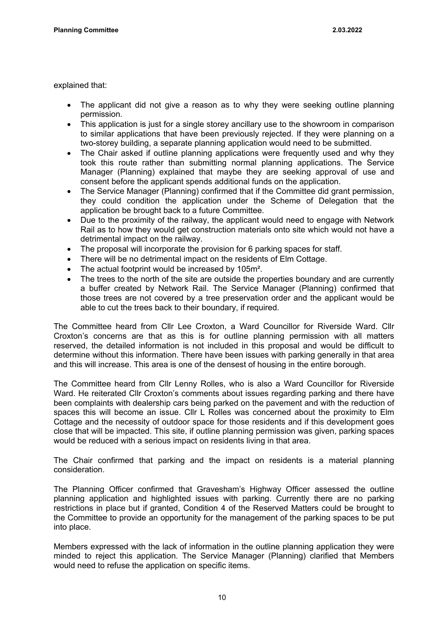explained that:

- The applicant did not give a reason as to why they were seeking outline planning permission.
- This application is just for a single storey ancillary use to the showroom in comparison to similar applications that have been previously rejected. If they were planning on a two-storey building, a separate planning application would need to be submitted.
- The Chair asked if outline planning applications were frequently used and why they took this route rather than submitting normal planning applications. The Service Manager (Planning) explained that maybe they are seeking approval of use and consent before the applicant spends additional funds on the application.
- The Service Manager (Planning) confirmed that if the Committee did grant permission, they could condition the application under the Scheme of Delegation that the application be brought back to a future Committee.
- Due to the proximity of the railway, the applicant would need to engage with Network Rail as to how they would get construction materials onto site which would not have a detrimental impact on the railway.
- The proposal will incorporate the provision for 6 parking spaces for staff.
- There will be no detrimental impact on the residents of Elm Cottage.
- The actual footprint would be increased by 105m<sup>2</sup>.
- The trees to the north of the site are outside the properties boundary and are currently a buffer created by Network Rail. The Service Manager (Planning) confirmed that those trees are not covered by a tree preservation order and the applicant would be able to cut the trees back to their boundary, if required.

The Committee heard from Cllr Lee Croxton, a Ward Councillor for Riverside Ward. Cllr Croxton's concerns are that as this is for outline planning permission with all matters reserved, the detailed information is not included in this proposal and would be difficult to determine without this information. There have been issues with parking generally in that area and this will increase. This area is one of the densest of housing in the entire borough.

The Committee heard from Cllr Lenny Rolles, who is also a Ward Councillor for Riverside Ward. He reiterated Cllr Croxton's comments about issues regarding parking and there have been complaints with dealership cars being parked on the pavement and with the reduction of spaces this will become an issue. Cllr L Rolles was concerned about the proximity to Elm Cottage and the necessity of outdoor space for those residents and if this development goes close that will be impacted. This site, if outline planning permission was given, parking spaces would be reduced with a serious impact on residents living in that area.

The Chair confirmed that parking and the impact on residents is a material planning consideration.

The Planning Officer confirmed that Gravesham's Highway Officer assessed the outline planning application and highlighted issues with parking. Currently there are no parking restrictions in place but if granted, Condition 4 of the Reserved Matters could be brought to the Committee to provide an opportunity for the management of the parking spaces to be put into place.

Members expressed with the lack of information in the outline planning application they were minded to reject this application. The Service Manager (Planning) clarified that Members would need to refuse the application on specific items.